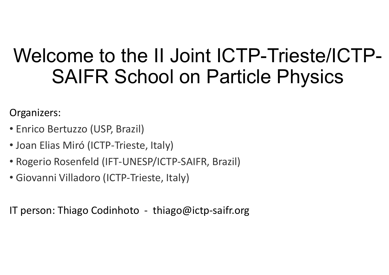## Welcome to the II Joint ICTP-Trieste/ICTP-<br>SAIFR School on Particle Physics **Example 10 Solen 1 Solen 1 Solen 20 SAIFR School on Particle Physics Welcome to the II Joint ICT<br>
SAIFR School on Part<br>
Organizers:<br>
• Enrico Bertuzzo (USP, Brazil)<br>
• Joan Elias Miró (ICTP-Trieste, Italy)<br>
• Rogerio Rosenfeld (IFT-UNESP/ICTP-SAIFR, Brazil) Welcome to the II Joint ICTP-Tr**<br> **SAIFR School on Particle F**<br>
Organizers:<br>
• Enrico Bertuzzo (USP, Brazil)<br>
• Joan Elias Miró (ICTP-Trieste, Italy)<br>
• Rogerio Rosenfeld (IFT-UNESP/ICTP-SAIFR, Brazil)<br>
• Giovanni Villado **SAIFR School on Partic**<br> **Enrico Bertuzzo (USP, Brazil)**<br>
• Joan Elias Miró (ICTP-Trieste, Italy)<br>
• Rogerio Rosenfeld (IFT-UNESP/ICTP-SAIFR, Brazil)<br>
• Giovanni Villadoro (ICTP-Trieste, Italy)<br>
IT person: Thiago Codinhot

Organizers:

- 
- Joan Elias Miró (ICTP-Trieste, Italy)
- Organizers:<br>• Enrico Bertuzzo (USP, Brazil)<br>• Joan Elias Miró (ICTP-Trieste, Italy)<br>• Rogerio Rosenfeld (IFT-UNESP/ICTP-SAIFR, Brazil)<br>• Giovanni Villadoro (ICTP-Trieste, Italy)<br>IT person: Thiago Codinhoto thiago@ictp-sa
-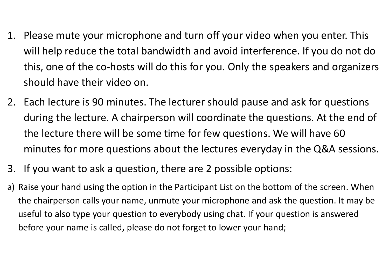- 1. Please mute your microphone and turn off your video when you enter. This<br>will help reduce the total bandwidth and avoid interference. If you do not do<br>this, one of the co-hosts will do this for you. Only the speakers an will help reduce the total bandwidth and avoid interference. If you do not do this, one of the co-hosts will do this for you. Only the speakers and organizers should have their video on. 2. Please mute your microphone and turn off your video when you enter. This<br>will help reduce the total bandwidth and avoid interference. If you do not do<br>this, one of the co-hosts will do this for you. Only the speakers an
- during the lecture. A chairperson will coordinate the questions. At the end of the lecture there will be some time for few questions. We will have 60 minutes for more questions about the lectures everyday in the Q&A sessions. 2. It is, one of the co-hosts will do this for you. Only the speakers and<br>should have their video on.<br>2. Each lecture is 90 minutes. The lecturer should pause and ask for during the lecture. A chairperson will coordinate t should have their video on.<br>
2. Each lecture is 90 minutes. The lecturer should pause and ask for questions<br>
during the lecture. A chairperson will coordinate the questions. At the end of<br>
the lecture there will be some ti
- 
- the chairperson calls your name, unmute your microphone and ask the question. It may be useful to also type your question to everybody using chat. If your question is answered before your name is called, please do not forget to lower your hand;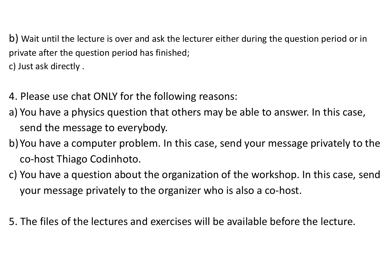b) Wait until the lecture is over and ask the lecturer either during the question period or in private after the question period has finished; c) Just ask directly . b) Wait until the lecture is over and ask the lecturer either during the question period or in<br>private after the question period has finished;<br>c) Just ask directly .<br>4. Please use chat ONLY for the following reasons:<br>a) Yo b) Wait until the lecture is over and ask the lecturer either during the question period or in<br>private after the question period has finished;<br>c) Just ask directly .<br>4. Please use chat ONLY for the following reasons:<br>a) Yo

- 4. Please use chat ONLY for the following reasons:
- send the message to everybody.
- co-host Thiago Codinhoto. c) Just ask directly .<br>4. Please use chat ONLY for the following reasons:<br>a) You have a physics question that others may be able to answer. In this case,<br>send the message to everybody.<br>b) You have a computer problem. In th
- your message privately to the organizer who is also a co-host.
- 5. The files of the lectures and exercises will be available before the lecture.